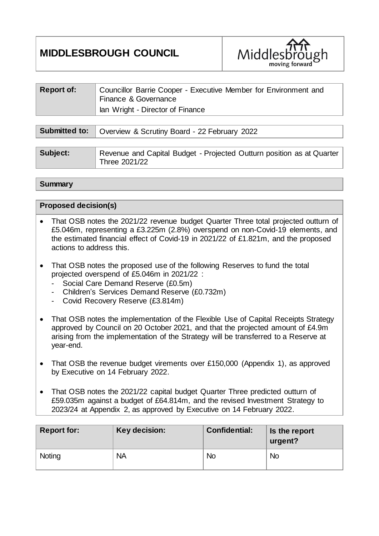# **MIDDLESBROUGH COUNCIL**



| <b>Report of:</b>    | Councillor Barrie Cooper - Executive Member for Environment and<br>Finance & Governance<br>lan Wright - Director of Finance |
|----------------------|-----------------------------------------------------------------------------------------------------------------------------|
|                      |                                                                                                                             |
| <b>Submitted to:</b> | Overview & Scrutiny Board - 22 February 2022                                                                                |
|                      |                                                                                                                             |

| Subject: | Revenue and Capital Budget - Projected Outturn position as at Quarter |
|----------|-----------------------------------------------------------------------|
|          | Three 2021/22                                                         |

**Summary**

|  | <b>Proposed decision(s)</b> |
|--|-----------------------------|
|--|-----------------------------|

- That OSB notes the 2021/22 revenue budget Quarter Three total projected outturn of £5.046m, representing a £3.225m (2.8%) overspend on non-Covid-19 elements, and the estimated financial effect of Covid-19 in 2021/22 of £1.821m, and the proposed actions to address this.
- That OSB notes the proposed use of the following Reserves to fund the total projected overspend of £5.046m in 2021/22 :
	- Social Care Demand Reserve (£0.5m)
	- Children's Services Demand Reserve (£0.732m)
	- Covid Recovery Reserve (£3.814m)
- That OSB notes the implementation of the Flexible Use of Capital Receipts Strategy approved by Council on 20 October 2021, and that the projected amount of £4.9m arising from the implementation of the Strategy will be transferred to a Reserve at year-end.
- That OSB the revenue budget virements over £150,000 (Appendix 1), as approved by Executive on 14 February 2022.
- That OSB notes the 2021/22 capital budget Quarter Three predicted outturn of £59.035m against a budget of £64.814m, and the revised Investment Strategy to 2023/24 at Appendix 2, as approved by Executive on 14 February 2022.

| <b>Report for:</b> | Key decision: | <b>Confidential:</b> | Is the report<br>urgent? |
|--------------------|---------------|----------------------|--------------------------|
| Noting             | <b>NA</b>     | <b>No</b>            | <b>No</b>                |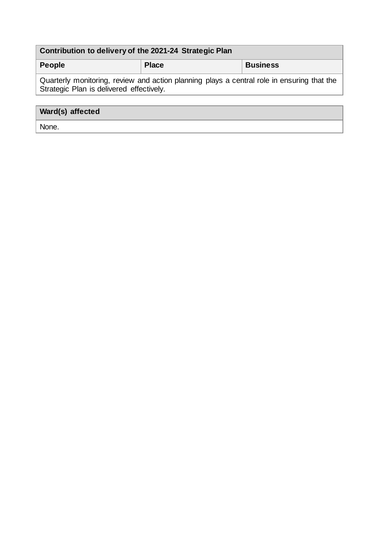| Contribution to delivery of the 2021-24 Strategic Plan                                                                                 |              |                 |  |  |  |  |  |  |
|----------------------------------------------------------------------------------------------------------------------------------------|--------------|-----------------|--|--|--|--|--|--|
| <b>People</b>                                                                                                                          | <b>Place</b> | <b>Business</b> |  |  |  |  |  |  |
| Quarterly monitoring, review and action planning plays a central role in ensuring that the<br>Strategic Plan is delivered effectively. |              |                 |  |  |  |  |  |  |
|                                                                                                                                        |              |                 |  |  |  |  |  |  |
| Ward(s) affected                                                                                                                       |              |                 |  |  |  |  |  |  |

None.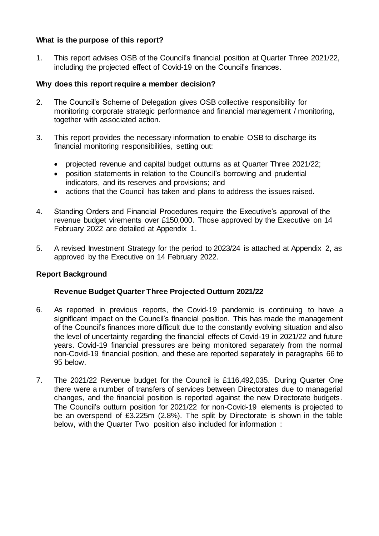# **What is the purpose of this report?**

1. This report advises OSB of the Council's financial position at Quarter Three 2021/22, including the projected effect of Covid-19 on the Council's finances.

# **Why does this report require a member decision?**

- 2. The Council's Scheme of Delegation gives OSB collective responsibility for monitoring corporate strategic performance and financial management / monitoring, together with associated action.
- 3. This report provides the necessary information to enable OSB to discharge its financial monitoring responsibilities, setting out:
	- projected revenue and capital budget outturns as at Quarter Three 2021/22;
	- position statements in relation to the Council's borrowing and prudential indicators, and its reserves and provisions; and
	- actions that the Council has taken and plans to address the issues raised.
- 4. Standing Orders and Financial Procedures require the Executive's approval of the revenue budget virements over £150,000. Those approved by the Executive on 14 February 2022 are detailed at Appendix 1.
- 5. A revised Investment Strategy for the period to 2023/24 is attached at Appendix 2, as approved by the Executive on 14 February 2022.

# **Report Background**

# **Revenue Budget Quarter Three Projected Outturn 2021/22**

- 6. As reported in previous reports, the Covid-19 pandemic is continuing to have a significant impact on the Council's financial position. This has made the management of the Council's finances more difficult due to the constantly evolving situation and also the level of uncertainty regarding the financial effects of Covid-19 in 2021/22 and future years. Covid-19 financial pressures are being monitored separately from the normal non-Covid-19 financial position, and these are reported separately in paragraphs 66 to 95 below.
- 7. The 2021/22 Revenue budget for the Council is £116,492,035. During Quarter One there were a number of transfers of services between Directorates due to managerial changes, and the financial position is reported against the new Directorate budgets . The Council's outturn position for 2021/22 for non-Covid-19 elements is projected to be an overspend of £3.225m (2.8%). The split by Directorate is shown in the table below, with the Quarter Two position also included for information :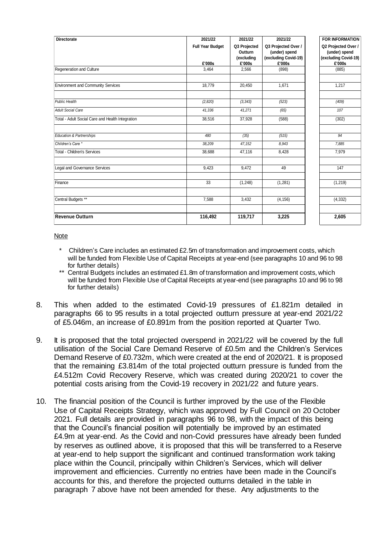| <b>Directorate</b>                                                                                                                                                                                                                                                                                                                                                                                                                                                                                                                                                                                                                                                                                                                                                                                                                                                                                                                                                               | 2021/22<br><b>Full Year Budget</b> | 2021/22<br>Q3 Projected         | 2021/22<br>Q3 Projected Over /                  | <b>FOR INFORMATION</b><br>Q2 Projected Over /   |
|----------------------------------------------------------------------------------------------------------------------------------------------------------------------------------------------------------------------------------------------------------------------------------------------------------------------------------------------------------------------------------------------------------------------------------------------------------------------------------------------------------------------------------------------------------------------------------------------------------------------------------------------------------------------------------------------------------------------------------------------------------------------------------------------------------------------------------------------------------------------------------------------------------------------------------------------------------------------------------|------------------------------------|---------------------------------|-------------------------------------------------|-------------------------------------------------|
|                                                                                                                                                                                                                                                                                                                                                                                                                                                                                                                                                                                                                                                                                                                                                                                                                                                                                                                                                                                  | £'000s                             | Outturn<br>(excluding<br>£'000s | (under) spend<br>(excluding Covid-19)<br>£'000s | (under) spend<br>(excluding Covid-19)<br>£'000s |
| Regeneration and Culture                                                                                                                                                                                                                                                                                                                                                                                                                                                                                                                                                                                                                                                                                                                                                                                                                                                                                                                                                         | 3,464                              | 2,566                           | (898)                                           | (885)                                           |
| <b>Environment and Community Services</b>                                                                                                                                                                                                                                                                                                                                                                                                                                                                                                                                                                                                                                                                                                                                                                                                                                                                                                                                        | 18,779                             | 20,450                          | 1,671                                           | 1,217                                           |
| <b>Public Health</b>                                                                                                                                                                                                                                                                                                                                                                                                                                                                                                                                                                                                                                                                                                                                                                                                                                                                                                                                                             | (2,820)                            | (3, 343)                        | (523)                                           | (409)                                           |
| <b>Adult Social Care</b>                                                                                                                                                                                                                                                                                                                                                                                                                                                                                                                                                                                                                                                                                                                                                                                                                                                                                                                                                         | 41,336                             | 41,271                          | (65)                                            | 107                                             |
| Total - Adult Social Care and Health Integration                                                                                                                                                                                                                                                                                                                                                                                                                                                                                                                                                                                                                                                                                                                                                                                                                                                                                                                                 | 38.516                             | 37,928                          | (588)                                           | (302)                                           |
| <b>Education &amp; Partnerships</b>                                                                                                                                                                                                                                                                                                                                                                                                                                                                                                                                                                                                                                                                                                                                                                                                                                                                                                                                              | 480                                | (35)                            | (515)                                           | 94                                              |
| Children's Care *                                                                                                                                                                                                                                                                                                                                                                                                                                                                                                                                                                                                                                                                                                                                                                                                                                                                                                                                                                | 38,209                             | 47,152                          | 8,943                                           | 7,885                                           |
| <b>Total - Children's Services</b>                                                                                                                                                                                                                                                                                                                                                                                                                                                                                                                                                                                                                                                                                                                                                                                                                                                                                                                                               | 38,688                             | 47,116                          | 8,428                                           | 7,979                                           |
| Legal and Governance Services                                                                                                                                                                                                                                                                                                                                                                                                                                                                                                                                                                                                                                                                                                                                                                                                                                                                                                                                                    | 9,423                              | 9,472                           | 49                                              | 147                                             |
| Finance                                                                                                                                                                                                                                                                                                                                                                                                                                                                                                                                                                                                                                                                                                                                                                                                                                                                                                                                                                          | 33                                 | (1,248)                         | (1, 281)                                        | (1, 219)                                        |
| Central Budgets **                                                                                                                                                                                                                                                                                                                                                                                                                                                                                                                                                                                                                                                                                                                                                                                                                                                                                                                                                               | 7,588                              | 3,432                           | (4, 156)                                        | (4, 332)                                        |
|                                                                                                                                                                                                                                                                                                                                                                                                                                                                                                                                                                                                                                                                                                                                                                                                                                                                                                                                                                                  |                                    |                                 |                                                 |                                                 |
| <b>Revenue Outturn</b>                                                                                                                                                                                                                                                                                                                                                                                                                                                                                                                                                                                                                                                                                                                                                                                                                                                                                                                                                           | 116,492                            | 119,717                         | 3,225                                           | 2,605                                           |
| will be funded from Flexible Use of Capital Receipts at year-end (see paragraphs 10 and 96 to 98<br>for further details)                                                                                                                                                                                                                                                                                                                                                                                                                                                                                                                                                                                                                                                                                                                                                                                                                                                         |                                    |                                 |                                                 |                                                 |
| This when added to the estimated Covid-19 pressures of £1.821m detailed in<br>paragraphs 66 to 95 results in a total projected outturn pressure at year-end 2021/22<br>of £5.046m, an increase of £0.891m from the position reported at Quarter Two.                                                                                                                                                                                                                                                                                                                                                                                                                                                                                                                                                                                                                                                                                                                             |                                    |                                 |                                                 |                                                 |
| It is proposed that the total projected overspend in 2021/22 will be covered by the full<br>utilisation of the Social Care Demand Reserve of £0.5m and the Children's Services<br>Demand Reserve of £0.732m, which were created at the end of 2020/21. It is proposed<br>that the remaining £3.814m of the total projected outturn pressure is funded from the<br>£4.512m Covid Recovery Reserve, which was created during 2020/21 to cover the<br>potential costs arising from the Covid-19 recovery in 2021/22 and future years.                                                                                                                                                                                                                                                                                                                                                                                                                                               |                                    |                                 |                                                 |                                                 |
| The financial position of the Council is further improved by the use of the Flexible<br>Use of Capital Receipts Strategy, which was approved by Full Council on 20 October<br>2021. Full details are provided in paragraphs 96 to 98, with the impact of this being<br>that the Council's financial position will potentially be improved by an estimated<br>£4.9m at year-end. As the Covid and non-Covid pressures have already been funded<br>by reserves as outlined above, it is proposed that this will be transferred to a Reserve<br>at year-end to help support the significant and continued transformation work taking<br>place within the Council, principally within Children's Services, which will deliver<br>improvement and efficiencies. Currently no entries have been made in the Council's<br>accounts for this, and therefore the projected outturns detailed in the table in<br>paragraph 7 above have not been amended for these. Any adjustments to the |                                    |                                 |                                                 |                                                 |

#### Note

- \* Children's Care includes an estimated £2.5m of transformation and improvement costs, which will be funded from Flexible Use of Capital Receipts at year-end (see paragraphs 10 and 96 to 98 for further details)
- \*\* Central Budgets includes an estimated £1.8m of transformation and improvement costs, which will be funded from Flexible Use of Capital Receipts at year-end (see paragraphs 10 and 96 to 98 for further details)
- 8. This when added to the estimated Covid-19 pressures of £1.821m detailed in paragraphs 66 to 95 results in a total projected outturn pressure at year-end 2021/22 of £5.046m, an increase of £0.891m from the position reported at Quarter Two.
- 9. It is proposed that the total projected overspend in 2021/22 will be covered by the full utilisation of the Social Care Demand Reserve of £0.5m and the Children's Services Demand Reserve of £0.732m, which were created at the end of 2020/21. It is proposed that the remaining £3.814m of the total projected outturn pressure is funded from the £4.512m Covid Recovery Reserve, which was created during 2020/21 to cover the potential costs arising from the Covid-19 recovery in 2021/22 and future years.
- 10. The financial position of the Council is further improved by the use of the Flexible Use of Capital Receipts Strategy, which was approved by Full Council on 20 October 2021. Full details are provided in paragraphs 96 to 98, with the impact of this being that the Council's financial position will potentially be improved by an estimated £4.9m at year-end. As the Covid and non-Covid pressures have already been funded by reserves as outlined above, it is proposed that this will be transferred to a Reserve at year-end to help support the significant and continued transformation work taking place within the Council, principally within Children's Services, which will deliver improvement and efficiencies. Currently no entries have been made in the Council's accounts for this, and therefore the projected outturns detailed in the table in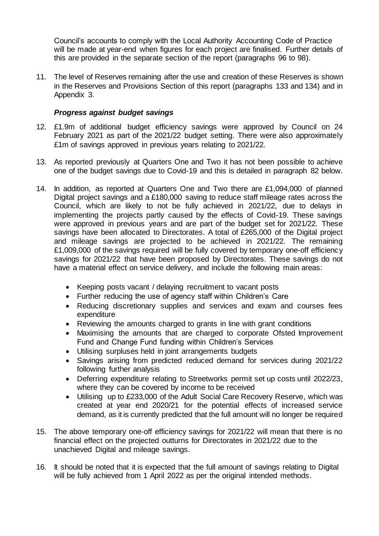Council's accounts to comply with the Local Authority Accounting Code of Practice will be made at year-end when figures for each project are finalised. Further details of this are provided in the separate section of the report (paragraphs 96 to 98).

11. The level of Reserves remaining after the use and creation of these Reserves is shown in the Reserves and Provisions Section of this report (paragraphs 133 and 134) and in Appendix 3.

# *Progress against budget savings*

- 12. £1.9m of additional budget efficiency savings were approved by Council on 24 February 2021 as part of the 2021/22 budget setting. There were also approximately £1m of savings approved in previous years relating to 2021/22.
- 13. As reported previously at Quarters One and Two it has not been possible to achieve one of the budget savings due to Covid-19 and this is detailed in paragraph 82 below.
- 14. In addition, as reported at Quarters One and Two there are £1,094,000 of planned Digital project savings and a £180,000 saving to reduce staff mileage rates across the Council, which are likely to not be fully achieved in 2021/22, due to delays in implementing the projects partly caused by the effects of Covid-19. These savings were approved in previous years and are part of the budget set for 2021/22. These savings have been allocated to Directorates. A total of £265,000 of the Digital project and mileage savings are projected to be achieved in 2021/22. The remaining £1,009,000 of the savings required will be fully covered by temporary one-off efficiency savings for 2021/22 that have been proposed by Directorates. These savings do not have a material effect on service delivery, and include the following main areas:
	- Keeping posts vacant / delaying recruitment to vacant posts
	- Further reducing the use of agency staff within Children's Care
	- Reducing discretionary supplies and services and exam and courses fees expenditure
	- Reviewing the amounts charged to grants in line with grant conditions
	- Maximising the amounts that are charged to corporate Ofsted Improvement Fund and Change Fund funding within Children's Services
	- Utilising surpluses held in joint arrangements budgets
	- Savings arising from predicted reduced demand for services during 2021/22 following further analysis
	- Deferring expenditure relating to Streetworks permit set up costs until 2022/23, where they can be covered by income to be received
	- Utilising up to £233,000 of the Adult Social Care Recovery Reserve, which was created at year end 2020/21 for the potential effects of increased service demand, as it is currently predicted that the full amount will no longer be required
- 15. The above temporary one-off efficiency savings for 2021/22 will mean that there is no financial effect on the projected outturns for Directorates in 2021/22 due to the unachieved Digital and mileage savings.
- 16. It should be noted that it is expected that the full amount of savings relating to Digital will be fully achieved from 1 April 2022 as per the original intended methods.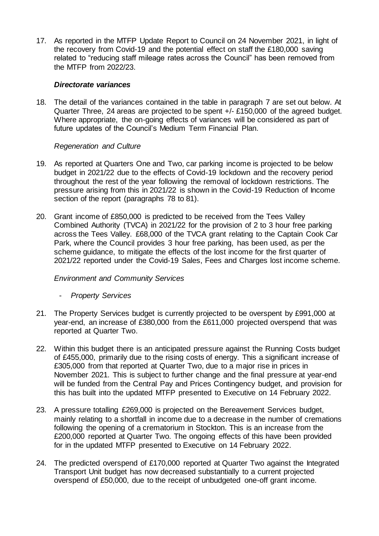17. As reported in the MTFP Update Report to Council on 24 November 2021, in light of the recovery from Covid-19 and the potential effect on staff the £180,000 saving related to "reducing staff mileage rates across the Council" has been removed from the MTFP from 2022/23.

#### *Directorate variances*

18. The detail of the variances contained in the table in paragraph 7 are set out below. At Quarter Three, 24 areas are projected to be spent +/- £150,000 of the agreed budget. Where appropriate, the on-going effects of variances will be considered as part of future updates of the Council's Medium Term Financial Plan.

#### *Regeneration and Culture*

- 19. As reported at Quarters One and Two, car parking income is projected to be below budget in 2021/22 due to the effects of Covid-19 lockdown and the recovery period throughout the rest of the year following the removal of lockdown restrictions. The pressure arising from this in 2021/22 is shown in the Covid-19 Reduction of Income section of the report (paragraphs 78 to 81).
- 20. Grant income of £850,000 is predicted to be received from the Tees Valley Combined Authority (TVCA) in 2021/22 for the provision of 2 to 3 hour free parking across the Tees Valley. £68,000 of the TVCA grant relating to the Captain Cook Car Park, where the Council provides 3 hour free parking, has been used, as per the scheme guidance, to mitigate the effects of the lost income for the first quarter of 2021/22 reported under the Covid-19 Sales, Fees and Charges lost income scheme.

# *Environment and Community Services*

- *Property Services*
- 21. The Property Services budget is currently projected to be overspent by £991,000 at year-end, an increase of £380,000 from the £611,000 projected overspend that was reported at Quarter Two.
- 22. Within this budget there is an anticipated pressure against the Running Costs budget of £455,000, primarily due to the rising costs of energy. This a significant increase of £305,000 from that reported at Quarter Two, due to a major rise in prices in November 2021. This is subject to further change and the final pressure at year-end will be funded from the Central Pay and Prices Contingency budget, and provision for this has built into the updated MTFP presented to Executive on 14 February 2022.
- 23. A pressure totalling £269,000 is projected on the Bereavement Services budget, mainly relating to a shortfall in income due to a decrease in the number of cremations following the opening of a crematorium in Stockton. This is an increase from the £200,000 reported at Quarter Two. The ongoing effects of this have been provided for in the updated MTFP presented to Executive on 14 February 2022.
- 24. The predicted overspend of £170,000 reported at Quarter Two against the Integrated Transport Unit budget has now decreased substantially to a current projected overspend of £50,000, due to the receipt of unbudgeted one-off grant income.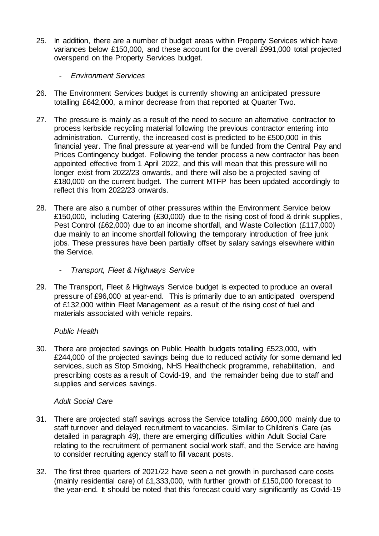- 25. In addition, there are a number of budget areas within Property Services which have variances below £150,000, and these account for the overall £991,000 total projected overspend on the Property Services budget.
	- *Environment Services*
- 26. The Environment Services budget is currently showing an anticipated pressure totalling £642,000, a minor decrease from that reported at Quarter Two.
- 27. The pressure is mainly as a result of the need to secure an alternative contractor to process kerbside recycling material following the previous contractor entering into administration. Currently, the increased cost is predicted to be £500,000 in this financial year. The final pressure at year-end will be funded from the Central Pay and Prices Contingency budget. Following the tender process a new contractor has been appointed effective from 1 April 2022, and this will mean that this pressure will no longer exist from 2022/23 onwards, and there will also be a projected saving of £180,000 on the current budget. The current MTFP has been updated accordingly to reflect this from 2022/23 onwards.
- 28. There are also a number of other pressures within the Environment Service below £150,000, including Catering (£30,000) due to the rising cost of food & drink supplies, Pest Control (£62,000) due to an income shortfall, and Waste Collection (£117,000) due mainly to an income shortfall following the temporary introduction of free junk jobs. These pressures have been partially offset by salary savings elsewhere within the Service.
	- *Transport, Fleet & Highways Service*
- 29. The Transport, Fleet & Highways Service budget is expected to produce an overall pressure of £96,000 at year-end. This is primarily due to an anticipated overspend of £132,000 within Fleet Management as a result of the rising cost of fuel and materials associated with vehicle repairs.

# *Public Health*

30. There are projected savings on Public Health budgets totalling £523,000, with £244,000 of the projected savings being due to reduced activity for some demand led services, such as Stop Smoking, NHS Healthcheck programme, rehabilitation, and prescribing costs as a result of Covid-19, and the remainder being due to staff and supplies and services savings.

# *Adult Social Care*

- 31. There are projected staff savings across the Service totalling £600,000 mainly due to staff turnover and delayed recruitment to vacancies. Similar to Children's Care (as detailed in paragraph 49), there are emerging difficulties within Adult Social Care relating to the recruitment of permanent social work staff, and the Service are having to consider recruiting agency staff to fill vacant posts.
- 32. The first three quarters of 2021/22 have seen a net growth in purchased care costs (mainly residential care) of £1,333,000, with further growth of £150,000 forecast to the year-end. It should be noted that this forecast could vary significantly as Covid-19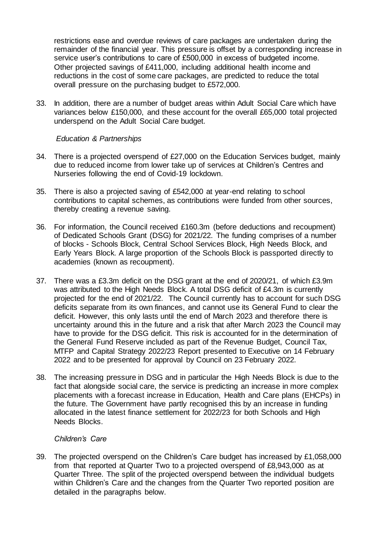restrictions ease and overdue reviews of care packages are undertaken during the remainder of the financial year. This pressure is offset by a corresponding increase in service user's contributions to care of £500,000 in excess of budgeted income. Other projected savings of £411,000, including additional health income and reductions in the cost of some care packages, are predicted to reduce the total overall pressure on the purchasing budget to £572,000.

33. In addition, there are a number of budget areas within Adult Social Care which have variances below £150,000, and these account for the overall £65,000 total projected underspend on the Adult Social Care budget.

# *Education & Partnerships*

- 34. There is a projected overspend of £27,000 on the Education Services budget, mainly due to reduced income from lower take up of services at Children's Centres and Nurseries following the end of Covid-19 lockdown.
- 35. There is also a projected saving of £542,000 at year-end relating to school contributions to capital schemes, as contributions were funded from other sources, thereby creating a revenue saving.
- 36. For information, the Council received £160.3m (before deductions and recoupment) of Dedicated Schools Grant (DSG) for 2021/22. The funding comprises of a number of blocks - Schools Block, Central School Services Block, High Needs Block, and Early Years Block. A large proportion of the Schools Block is passported directly to academies (known as recoupment).
- 37. There was a £3.3m deficit on the DSG grant at the end of 2020/21, of which £3.9m was attributed to the High Needs Block. A total DSG deficit of £4.3m is currently projected for the end of 2021/22. The Council currently has to account for such DSG deficits separate from its own finances, and cannot use its General Fund to clear the deficit. However, this only lasts until the end of March 2023 and therefore there is uncertainty around this in the future and a risk that after March 2023 the Council may have to provide for the DSG deficit. This risk is accounted for in the determination of the General Fund Reserve included as part of the Revenue Budget, Council Tax, MTFP and Capital Strategy 2022/23 Report presented to Executive on 14 February 2022 and to be presented for approval by Council on 23 February 2022.
- 38. The increasing pressure in DSG and in particular the High Needs Block is due to the fact that alongside social care, the service is predicting an increase in more complex placements with a forecast increase in Education, Health and Care plans (EHCPs) in the future. The Government have partly recognised this by an increase in funding allocated in the latest finance settlement for 2022/23 for both Schools and High Needs Blocks.

# *Children's Care*

39. The projected overspend on the Children's Care budget has increased by £1,058,000 from that reported at Quarter Two to a projected overspend of £8,943,000 as at Quarter Three. The split of the projected overspend between the individual budgets within Children's Care and the changes from the Quarter Two reported position are detailed in the paragraphs below.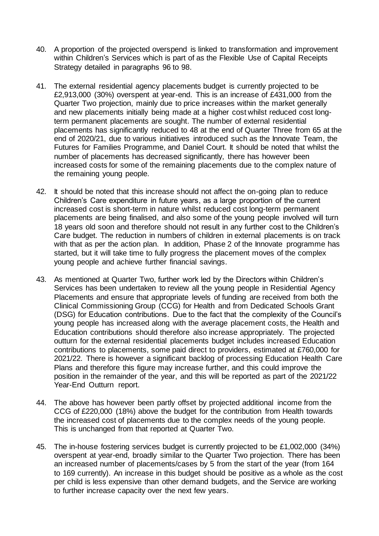- 40. A proportion of the projected overspend is linked to transformation and improvement within Children's Services which is part of as the Flexible Use of Capital Receipts Strategy detailed in paragraphs 96 to 98.
- 41. The external residential agency placements budget is currently projected to be £2,913,000 (30%) overspent at year-end. This is an increase of £431,000 from the Quarter Two projection, mainly due to price increases within the market generally and new placements initially being made at a higher cost whilst reduced cost longterm permanent placements are sought. The number of external residential placements has significantly reduced to 48 at the end of Quarter Three from 65 at the end of 2020/21, due to various initiatives introduced such as the Innovate Team, the Futures for Families Programme, and Daniel Court. It should be noted that whilst the number of placements has decreased significantly, there has however been increased costs for some of the remaining placements due to the complex nature of the remaining young people.
- 42. It should be noted that this increase should not affect the on-going plan to reduce Children's Care expenditure in future years, as a large proportion of the current increased cost is short-term in nature whilst reduced cost long-term permanent placements are being finalised, and also some of the young people involved will turn 18 years old soon and therefore should not result in any further cost to the Children's Care budget. The reduction in numbers of children in external placements is on track with that as per the action plan. In addition, Phase 2 of the Innovate programme has started, but it will take time to fully progress the placement moves of the complex young people and achieve further financial savings.
- 43. As mentioned at Quarter Two, further work led by the Directors within Children's Services has been undertaken to review all the young people in Residential Agency Placements and ensure that appropriate levels of funding are received from both the Clinical Commissioning Group (CCG) for Health and from Dedicated Schools Grant (DSG) for Education contributions. Due to the fact that the complexity of the Council's young people has increased along with the average placement costs, the Health and Education contributions should therefore also increase appropriately. The projected outturn for the external residential placements budget includes increased Education contributions to placements, some paid direct to providers, estimated at £760,000 for 2021/22. There is however a significant backlog of processing Education Health Care Plans and therefore this figure may increase further, and this could improve the position in the remainder of the year, and this will be reported as part of the 2021/22 Year-End Outturn report.
- 44. The above has however been partly offset by projected additional income from the CCG of £220,000 (18%) above the budget for the contribution from Health towards the increased cost of placements due to the complex needs of the young people. This is unchanged from that reported at Quarter Two.
- 45. The in-house fostering services budget is currently projected to be £1,002,000 (34%) overspent at year-end, broadly similar to the Quarter Two projection. There has been an increased number of placements/cases by 5 from the start of the year (from 164 to 169 currently). An increase in this budget should be positive as a whole as the cost per child is less expensive than other demand budgets, and the Service are working to further increase capacity over the next few years.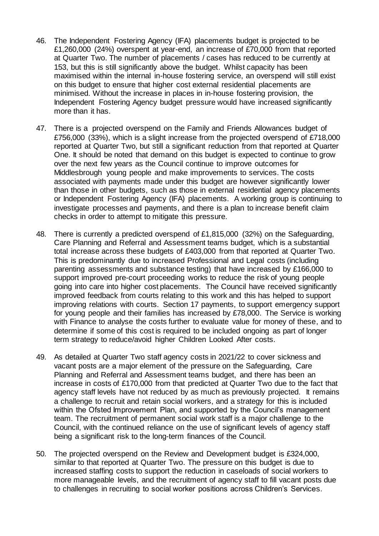- 46. The Independent Fostering Agency (IFA) placements budget is projected to be £1,260,000 (24%) overspent at year-end, an increase of £70,000 from that reported at Quarter Two. The number of placements / cases has reduced to be currently at 153, but this is still significantly above the budget. Whilst capacity has been maximised within the internal in-house fostering service, an overspend will still exist on this budget to ensure that higher cost external residential placements are minimised. Without the increase in places in in-house fostering provision, the Independent Fostering Agency budget pressure would have increased significantly more than it has.
- 47. There is a projected overspend on the Family and Friends Allowances budget of £756,000 (33%), which is a slight increase from the projected overspend of £718,000 reported at Quarter Two, but still a significant reduction from that reported at Quarter One. It should be noted that demand on this budget is expected to continue to grow over the next few years as the Council continue to improve outcomes for Middlesbrough young people and make improvements to services. The costs associated with payments made under this budget are however significantly lower than those in other budgets, such as those in external residential agency placements or Independent Fostering Agency (IFA) placements. A working group is continuing to investigate processes and payments, and there is a plan to increase benefit claim checks in order to attempt to mitigate this pressure.
- 48. There is currently a predicted overspend of £1,815,000 (32%) on the Safeguarding, Care Planning and Referral and Assessment teams budget, which is a substantial total increase across these budgets of £403,000 from that reported at Quarter Two. This is predominantly due to increased Professional and Legal costs (including parenting assessments and substance testing) that have increased by £166,000 to support improved pre-court proceeding works to reduce the risk of young people going into care into higher cost placements. The Council have received significantly improved feedback from courts relating to this work and this has helped to support improving relations with courts. Section 17 payments, to support emergency support for young people and their families has increased by £78,000. The Service is working with Finance to analyse the costs further to evaluate value for money of these, and to determine if some of this cost is required to be included ongoing as part of longer term strategy to reduce/avoid higher Children Looked After costs.
- 49. As detailed at Quarter Two staff agency costs in 2021/22 to cover sickness and vacant posts are a major element of the pressure on the Safeguarding, Care Planning and Referral and Assessment teams budget, and there has been an increase in costs of £170,000 from that predicted at Quarter Two due to the fact that agency staff levels have not reduced by as much as previously projected. It remains a challenge to recruit and retain social workers, and a strategy for this is included within the Ofsted Improvement Plan, and supported by the Council's management team. The recruitment of permanent social work staff is a major challenge to the Council, with the continued reliance on the use of significant levels of agency staff being a significant risk to the long-term finances of the Council.
- 50. The projected overspend on the Review and Development budget is £324,000, similar to that reported at Quarter Two. The pressure on this budget is due to increased staffing costs to support the reduction in caseloads of social workers to more manageable levels, and the recruitment of agency staff to fill vacant posts due to challenges in recruiting to social worker positions across Children's Services.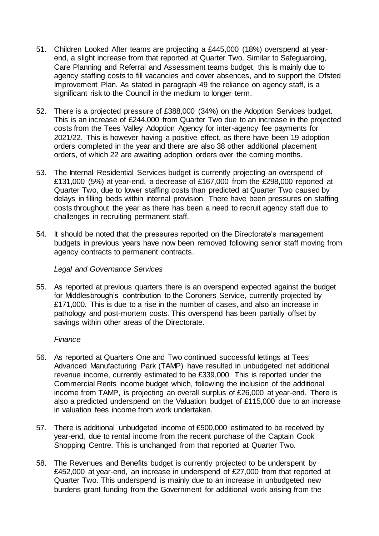- 51. Children Looked After teams are projecting a £445,000 (18%) overspend at yearend, a slight increase from that reported at Quarter Two. Similar to Safeguarding, Care Planning and Referral and Assessment teams budget, this is mainly due to agency staffing costs to fill vacancies and cover absences, and to support the Ofsted Improvement Plan. As stated in paragraph 49 the reliance on agency staff, is a significant risk to the Council in the medium to longer term.
- 52. There is a projected pressure of £388,000 (34%) on the Adoption Services budget. This is an increase of £244,000 from Quarter Two due to an increase in the projected costs from the Tees Valley Adoption Agency for inter-agency fee payments for 2021/22. This is however having a positive effect, as there have been 19 adoption orders completed in the year and there are also 38 other additional placement orders, of which 22 are awaiting adoption orders over the coming months.
- 53. The Internal Residential Services budget is currently projecting an overspend of £131,000 (5%) at year-end, a decrease of £167,000 from the £298,000 reported at Quarter Two, due to lower staffing costs than predicted at Quarter Two caused by delays in filling beds within internal provision. There have been pressures on staffing costs throughout the year as there has been a need to recruit agency staff due to challenges in recruiting permanent staff.
- 54. It should be noted that the pressures reported on the Directorate's management budgets in previous years have now been removed following senior staff moving from agency contracts to permanent contracts.

#### *Legal and Governance Services*

55. As reported at previous quarters there is an overspend expected against the budget for Middlesbrough's contribution to the Coroners Service, currently projected by £171,000. This is due to a rise in the number of cases, and also an increase in pathology and post-mortem costs. This overspend has been partially offset by savings within other areas of the Directorate.

#### *Finance*

- 56. As reported at Quarters One and Two continued successful lettings at Tees Advanced Manufacturing Park (TAMP) have resulted in unbudgeted net additional revenue income, currently estimated to be £339,000. This is reported under the Commercial Rents income budget which, following the inclusion of the additional income from TAMP, is projecting an overall surplus of £26,000 at year-end. There is also a predicted underspend on the Valuation budget of £115,000 due to an increase in valuation fees income from work undertaken.
- 57. There is additional unbudgeted income of £500,000 estimated to be received by year-end, due to rental income from the recent purchase of the Captain Cook Shopping Centre. This is unchanged from that reported at Quarter Two.
- 58. The Revenues and Benefits budget is currently projected to be underspent by £452,000 at year-end, an increase in underspend of £27,000 from that reported at Quarter Two. This underspend is mainly due to an increase in unbudgeted new burdens grant funding from the Government for additional work arising from the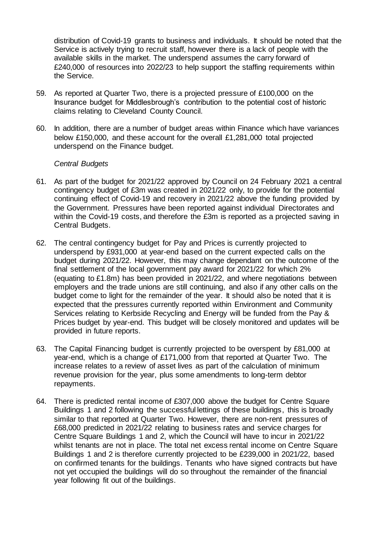distribution of Covid-19 grants to business and individuals. It should be noted that the Service is actively trying to recruit staff, however there is a lack of people with the available skills in the market. The underspend assumes the carry forward of £240,000 of resources into 2022/23 to help support the staffing requirements within the Service.

- 59. As reported at Quarter Two, there is a projected pressure of £100,000 on the Insurance budget for Middlesbrough's contribution to the potential cost of historic claims relating to Cleveland County Council.
- 60. In addition, there are a number of budget areas within Finance which have variances below £150,000, and these account for the overall £1,281,000 total projected underspend on the Finance budget.

# *Central Budgets*

- 61. As part of the budget for 2021/22 approved by Council on 24 February 2021 a central contingency budget of £3m was created in 2021/22 only, to provide for the potential continuing effect of Covid-19 and recovery in 2021/22 above the funding provided by the Government. Pressures have been reported against individual Directorates and within the Covid-19 costs, and therefore the £3m is reported as a projected saving in Central Budgets.
- 62. The central contingency budget for Pay and Prices is currently projected to underspend by £931,000 at year-end based on the current expected calls on the budget during 2021/22. However, this may change dependant on the outcome of the final settlement of the local government pay award for 2021/22 for which 2% (equating to £1.8m) has been provided in 2021/22, and where negotiations between employers and the trade unions are still continuing, and also if any other calls on the budget come to light for the remainder of the year. It should also be noted that it is expected that the pressures currently reported within Environment and Community Services relating to Kerbside Recycling and Energy will be funded from the Pay & Prices budget by year-end. This budget will be closely monitored and updates will be provided in future reports.
- 63. The Capital Financing budget is currently projected to be overspent by £81,000 at year-end, which is a change of £171,000 from that reported at Quarter Two. The increase relates to a review of asset lives as part of the calculation of minimum revenue provision for the year, plus some amendments to long-term debtor repayments.
- 64. There is predicted rental income of £307,000 above the budget for Centre Square Buildings 1 and 2 following the successful lettings of these buildings, this is broadly similar to that reported at Quarter Two. However, there are non-rent pressures of £68,000 predicted in 2021/22 relating to business rates and service charges for Centre Square Buildings 1 and 2, which the Council will have to incur in 2021/22 whilst tenants are not in place. The total net excess rental income on Centre Square Buildings 1 and 2 is therefore currently projected to be £239,000 in 2021/22, based on confirmed tenants for the buildings. Tenants who have signed contracts but have not yet occupied the buildings will do so throughout the remainder of the financial year following fit out of the buildings.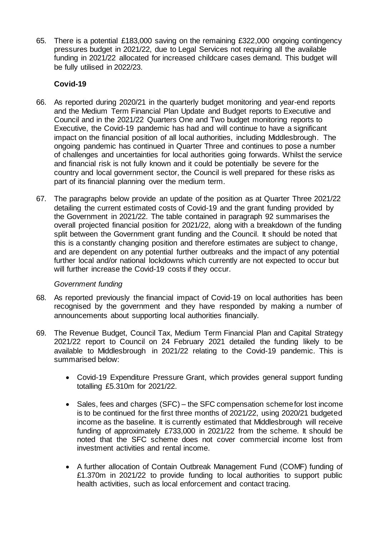65. There is a potential £183,000 saving on the remaining £322,000 ongoing contingency pressures budget in 2021/22, due to Legal Services not requiring all the available funding in 2021/22 allocated for increased childcare cases demand. This budget will be fully utilised in 2022/23.

# **Covid-19**

- 66. As reported during 2020/21 in the quarterly budget monitoring and year-end reports and the Medium Term Financial Plan Update and Budget reports to Executive and Council and in the 2021/22 Quarters One and Two budget monitoring reports to Executive, the Covid-19 pandemic has had and will continue to have a significant impact on the financial position of all local authorities, including Middlesbrough. The ongoing pandemic has continued in Quarter Three and continues to pose a number of challenges and uncertainties for local authorities going forwards. Whilst the service and financial risk is not fully known and it could be potentially be severe for the country and local government sector, the Council is well prepared for these risks as part of its financial planning over the medium term.
- 67. The paragraphs below provide an update of the position as at Quarter Three 2021/22 detailing the current estimated costs of Covid-19 and the grant funding provided by the Government in 2021/22. The table contained in paragraph 92 summarises the overall projected financial position for 2021/22, along with a breakdown of the funding split between the Government grant funding and the Council. It should be noted that this is a constantly changing position and therefore estimates are subject to change, and are dependent on any potential further outbreaks and the impact of any potential further local and/or national lockdowns which currently are not expected to occur but will further increase the Covid-19 costs if they occur.

# *Government funding*

- 68. As reported previously the financial impact of Covid-19 on local authorities has been recognised by the government and they have responded by making a number of announcements about supporting local authorities financially.
- 69. The Revenue Budget, Council Tax, Medium Term Financial Plan and Capital Strategy 2021/22 report to Council on 24 February 2021 detailed the funding likely to be available to Middlesbrough in 2021/22 relating to the Covid-19 pandemic. This is summarised below:
	- Covid-19 Expenditure Pressure Grant, which provides general support funding totalling £5.310m for 2021/22.
	- Sales, fees and charges (SFC) the SFC compensation scheme for lost income is to be continued for the first three months of 2021/22, using 2020/21 budgeted income as the baseline. It is currently estimated that Middlesbrough will receive funding of approximately £733,000 in 2021/22 from the scheme. It should be noted that the SFC scheme does not cover commercial income lost from investment activities and rental income.
	- A further allocation of Contain Outbreak Management Fund (COMF) funding of £1.370m in 2021/22 to provide funding to local authorities to support public health activities, such as local enforcement and contact tracing.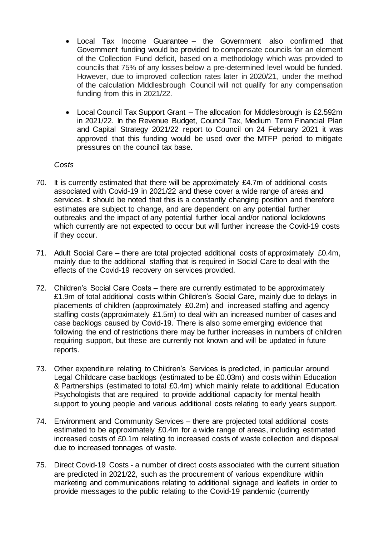- Local Tax Income Guarantee the Government also confirmed that Government funding would be provided to compensate councils for an element of the Collection Fund deficit, based on a methodology which was provided to councils that 75% of any losses below a pre-determined level would be funded. However, due to improved collection rates later in 2020/21, under the method of the calculation Middlesbrough Council will not qualify for any compensation funding from this in 2021/22.
- Local Council Tax Support Grant The allocation for Middlesbrough is £2.592m in 2021/22. In the Revenue Budget, Council Tax, Medium Term Financial Plan and Capital Strategy 2021/22 report to Council on 24 February 2021 it was approved that this funding would be used over the MTFP period to mitigate pressures on the council tax base.

#### *Costs*

- 70. It is currently estimated that there will be approximately £4.7m of additional costs associated with Covid-19 in 2021/22 and these cover a wide range of areas and services. It should be noted that this is a constantly changing position and therefore estimates are subject to change, and are dependent on any potential further outbreaks and the impact of any potential further local and/or national lockdowns which currently are not expected to occur but will further increase the Covid-19 costs if they occur.
- 71. Adult Social Care there are total projected additional costs of approximately £0.4m, mainly due to the additional staffing that is required in Social Care to deal with the effects of the Covid-19 recovery on services provided.
- 72. Children's Social Care Costs there are currently estimated to be approximately £1.9m of total additional costs within Children's Social Care, mainly due to delays in placements of children (approximately £0.2m) and increased staffing and agency staffing costs (approximately £1.5m) to deal with an increased number of cases and case backlogs caused by Covid-19. There is also some emerging evidence that following the end of restrictions there may be further increases in numbers of children requiring support, but these are currently not known and will be updated in future reports.
- 73. Other expenditure relating to Children's Services is predicted, in particular around Legal Childcare case backlogs (estimated to be £0.03m) and costs within Education & Partnerships (estimated to total £0.4m) which mainly relate to additional Education Psychologists that are required to provide additional capacity for mental health support to young people and various additional costs relating to early years support.
- 74. Environment and Community Services there are projected total additional costs estimated to be approximately £0.4m for a wide range of areas, including estimated increased costs of £0.1m relating to increased costs of waste collection and disposal due to increased tonnages of waste.
- 75. Direct Covid-19 Costs a number of direct costs associated with the current situation are predicted in 2021/22, such as the procurement of various expenditure within marketing and communications relating to additional signage and leaflets in order to provide messages to the public relating to the Covid-19 pandemic (currently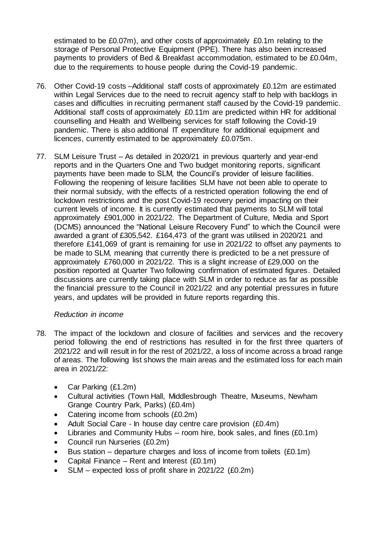estimated to be £0.07m), and other costs of approximately £0.1m relating to the storage of Personal Protective Equipment (PPE). There has also been increased payments to providers of Bed & Breakfast accommodation, estimated to be £0.04m, due to the requirements to house people during the Covid-19 pandemic.

- 76. Other Covid-19 costs –Additional staff costs of approximately £0.12m are estimated within Legal Services due to the need to recruit agency staff to help with backlogs in cases and difficulties in recruiting permanent staff caused by the Covid-19 pandemic. Additional staff costs of approximately £0.11m are predicted within HR for additional counselling and Health and Wellbeing services for staff following the Covid-19 pandemic. There is also additional IT expenditure for additional equipment and licences, currently estimated to be approximately £0.075m.
- 77. SLM Leisure Trust As detailed in 2020/21 in previous quarterly and year-end reports and in the Quarters One and Two budget monitoring reports, significant payments have been made to SLM, the Council's provider of leisure facilities. Following the reopening of leisure facilities SLM have not been able to operate to their normal subsidy, with the effects of a restricted operation following the end of lockdown restrictions and the post Covid-19 recovery period impacting on their current levels of income. It is currently estimated that payments to SLM will total approximately £901,000 in 2021/22. The Department of Culture, Media and Sport (DCMS) announced the "National Leisure Recovery Fund" to which the Council were awarded a grant of £305,542. £164,473 of the grant was utilised in 2020/21 and therefore £141,069 of grant is remaining for use in 2021/22 to offset any payments to be made to SLM, meaning that currently there is predicted to be a net pressure of approximately £760,000 in 2021/22. This is a slight increase of £29,000 on the position reported at Quarter Two following confirmation of estimated figures. Detailed discussions are currently taking place with SLM in order to reduce as far as possible the financial pressure to the Council in 2021/22 and any potential pressures in future years, and updates will be provided in future reports regarding this.

# *Reduction in income*

- 78. The impact of the lockdown and closure of facilities and services and the recovery period following the end of restrictions has resulted in for the first three quarters of 2021/22 and will result in for the rest of 2021/22, a loss of income across a broad range of areas. The following list shows the main areas and the estimated loss for each main area in 2021/22:
	- Car Parking (£1.2m)
	- Cultural activities (Town Hall, Middlesbrough Theatre, Museums, Newham Grange Country Park, Parks) (£0.4m)
	- Catering income from schools (£0.2m)
	- Adult Social Care In house day centre care provision (£0.4m)
	- Libraries and Community Hubs room hire, book sales, and fines  $(£0.1m)$
	- Council run Nurseries (£0.2m)
	- Bus station departure charges and loss of income from toilets (£0.1m)
	- Capital Finance Rent and Interest (£0.1m)
	- SLM expected loss of profit share in 2021/22 (£0.2m)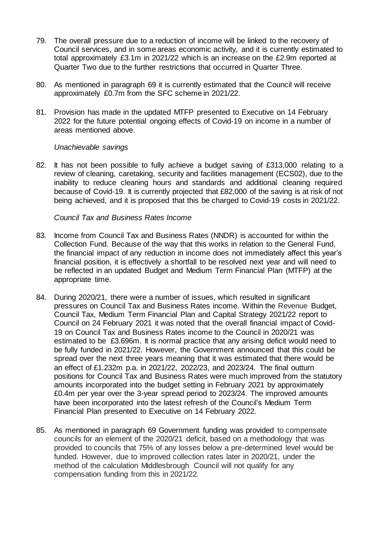- 79. The overall pressure due to a reduction of income will be linked to the recovery of Council services, and in some areas economic activity, and it is currently estimated to total approximately £3.1m in 2021/22 which is an increase on the £2.9m reported at Quarter Two due to the further restrictions that occurred in Quarter Three.
- 80. As mentioned in paragraph 69 it is currently estimated that the Council will receive approximately £0.7m from the SFC scheme in 2021/22.
- 81. Provision has made in the updated MTFP presented to Executive on 14 February 2022 for the future potential ongoing effects of Covid-19 on income in a number of areas mentioned above.

#### *Unachievable savings*

82. It has not been possible to fully achieve a budget saving of £313,000 relating to a review of cleaning, caretaking, security and facilities management (ECS02), due to the inability to reduce cleaning hours and standards and additional cleaning required because of Covid-19. It is currently projected that £82,000 of the saving is at risk of not being achieved, and it is proposed that this be charged to Covid-19 costs in 2021/22.

#### *Council Tax and Business Rates Income*

- 83. Income from Council Tax and Business Rates (NNDR) is accounted for within the Collection Fund. Because of the way that this works in relation to the General Fund, the financial impact of any reduction in income does not immediately affect this year's financial position, it is effectively a shortfall to be resolved next year and will need to be reflected in an updated Budget and Medium Term Financial Plan (MTFP) at the appropriate time.
- 84. During 2020/21, there were a number of issues, which resulted in significant pressures on Council Tax and Business Rates income. Within the Revenue Budget, Council Tax, Medium Term Financial Plan and Capital Strategy 2021/22 report to Council on 24 February 2021 it was noted that the overall financial impact of Covid-19 on Council Tax and Business Rates income to the Council in 2020/21 was estimated to be £3.696m. It is normal practice that any arising deficit would need to be fully funded in 2021/22. However, the Government announced that this could be spread over the next three years meaning that it was estimated that there would be an effect of £1.232m p.a. in 2021/22, 2022/23, and 2023/24. The final outturn positions for Council Tax and Business Rates were much improved from the statutory amounts incorporated into the budget setting in February 2021 by approximately £0.4m per year over the 3-year spread period to 2023/24. The improved amounts have been incorporated into the latest refresh of the Council's Medium Term Financial Plan presented to Executive on 14 February 2022.
- 85. As mentioned in paragraph 69 Government funding was provided to compensate councils for an element of the 2020/21 deficit, based on a methodology that was provided to councils that 75% of any losses below a pre-determined level would be funded. However, due to improved collection rates later in 2020/21, under the method of the calculation Middlesbrough Council will not qualify for any compensation funding from this in 2021/22.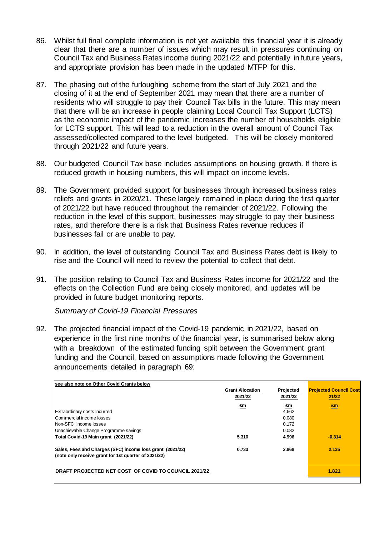- 86. Whilst full final complete information is not yet available this financial year it is already clear that there are a number of issues which may result in pressures continuing on Council Tax and Business Rates income during 2021/22 and potentially in future years, and appropriate provision has been made in the updated MTFP for this.
- 87. The phasing out of the furloughing scheme from the start of July 2021 and the closing of it at the end of September 2021 may mean that there are a number of residents who will struggle to pay their Council Tax bills in the future. This may mean that there will be an increase in people claiming Local Council Tax Support (LCTS) as the economic impact of the pandemic increases the number of households eligible for LCTS support. This will lead to a reduction in the overall amount of Council Tax assessed/collected compared to the level budgeted. This will be closely monitored through 2021/22 and future years.
- 88. Our budgeted Council Tax base includes assumptions on housing growth. If there is reduced growth in housing numbers, this will impact on income levels.
- 89. The Government provided support for businesses through increased business rates reliefs and grants in 2020/21. These largely remained in place during the first quarter of 2021/22 but have reduced throughout the remainder of 2021/22. Following the reduction in the level of this support, businesses may struggle to pay their business rates, and therefore there is a risk that Business Rates revenue reduces if businesses fail or are unable to pay.
- 90. In addition, the level of outstanding Council Tax and Business Rates debt is likely to rise and the Council will need to review the potential to collect that debt.
- 91. The position relating to Council Tax and Business Rates income for 2021/22 and the effects on the Collection Fund are being closely monitored, and updates will be provided in future budget monitoring reports.

 *Summary of Covid-19 Financial Pressures*

92. The projected financial impact of the Covid-19 pandemic in 2021/22, based on experience in the first nine months of the financial year, is summarised below along with a breakdown of the estimated funding split between the Government grant funding and the Council, based on assumptions made following the Government announcements detailed in paragraph 69:

| see also note on Other Covid Grants below                                                                         |                         |           |                               |
|-------------------------------------------------------------------------------------------------------------------|-------------------------|-----------|-------------------------------|
|                                                                                                                   | <b>Grant Allocation</b> | Projected | <b>Projected Council Cost</b> |
|                                                                                                                   | 2021/22                 | 2021/22   | 21/22                         |
|                                                                                                                   | £m                      | £m        | $E_{\rm m}$                   |
| Extraordinary costs incurred                                                                                      |                         | 4.662     |                               |
| Commercial income losses                                                                                          |                         | 0.080     |                               |
| Non-SFC income losses                                                                                             |                         | 0.172     |                               |
| Unachievable Change Programme savings                                                                             |                         | 0.082     |                               |
| Total Covid-19 Main grant (2021/22)                                                                               | 5.310                   | 4.996     | $-0.314$                      |
| Sales, Fees and Charges (SFC) income loss grant (2021/22)<br>(note only receive grant for 1st quarter of 2021/22) | 0.733                   | 2.868     | 2.135                         |
| <b>IDRAFT PROJECTED NET COST OF COVID TO COUNCIL 2021/22</b>                                                      |                         |           | 1.821                         |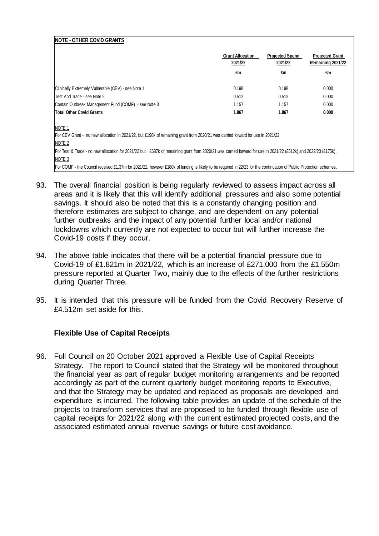| <b>NOTE - OTHER COVID GRANTS</b>                                                                                                                                  |                                    |                                   |                                             |
|-------------------------------------------------------------------------------------------------------------------------------------------------------------------|------------------------------------|-----------------------------------|---------------------------------------------|
|                                                                                                                                                                   | <b>Grant Allocation</b><br>2021/22 | <b>Projected Spend</b><br>2021/22 | <b>Projected Grant</b><br>Remaining 2021/22 |
|                                                                                                                                                                   | £m                                 | £m                                | £m                                          |
| Clinically Extremely Vulnerable (CEV) - see Note 1                                                                                                                | 0.198                              | 0.198                             | 0.000                                       |
| Test And Trace - see Note 2                                                                                                                                       | 0.512                              | 0.512                             | 0.000                                       |
| Contain Outbreak Management Fund (COMF) - see Note 3                                                                                                              | 1.157                              | 1.157                             | 0.000                                       |
| <b>Total Other Covid Grants</b>                                                                                                                                   | 1.867                              | 1.867                             | 0.000                                       |
| NOTE <sub>1</sub>                                                                                                                                                 |                                    |                                   |                                             |
| For CEV Grant - no new allocation in 2021/22, but £198k of remaining grant from 2020/21 was carried forward for use in 2021/22.                                   |                                    |                                   |                                             |
| NOTE 2                                                                                                                                                            |                                    |                                   |                                             |
| For Test & Trace - no new allocation for 2021/22 but £687k of remaining grant from 2020/21 was carried forward for use in 2021/22 (£512k) and 2022/23 (£175k).    |                                    |                                   |                                             |
| NOTE <sub>3</sub>                                                                                                                                                 |                                    |                                   |                                             |
| For COMF - the Council received £1.37m for 2021/22, however £180k of funding is likely to be required in 22/23 for the continuation of Public Protection schemes. |                                    |                                   |                                             |

- 93. The overall financial position is being regularly reviewed to assess impact across all areas and it is likely that this will identify additional pressures and also some potential savings. It should also be noted that this is a constantly changing position and therefore estimates are subject to change, and are dependent on any potential further outbreaks and the impact of any potential further local and/or national lockdowns which currently are not expected to occur but will further increase the Covid-19 costs if they occur.
- 94. The above table indicates that there will be a potential financial pressure due to Covid-19 of £1.821m in 2021/22, which is an increase of £271,000 from the £1.550m pressure reported at Quarter Two, mainly due to the effects of the further restrictions during Quarter Three.
- 95. It is intended that this pressure will be funded from the Covid Recovery Reserve of £4.512m set aside for this.

# **Flexible Use of Capital Receipts**

96. Full Council on 20 October 2021 approved a Flexible Use of Capital Receipts Strategy. The report to Council stated that the Strategy will be monitored throughout the financial year as part of regular budget monitoring arrangements and be reported accordingly as part of the current quarterly budget monitoring reports to Executive, and that the Strategy may be updated and replaced as proposals are developed and expenditure is incurred. The following table provides an update of the schedule of the projects to transform services that are proposed to be funded through flexible use of capital receipts for 2021/22 along with the current estimated projected costs, and the associated estimated annual revenue savings or future cost avoidance.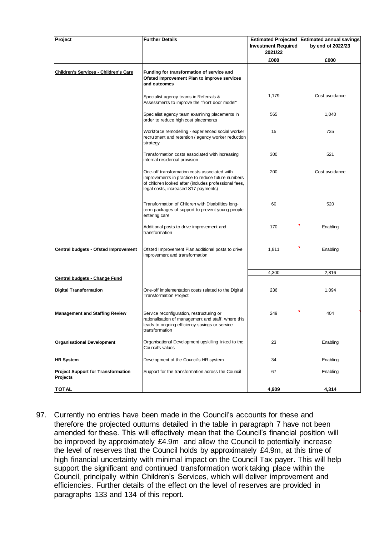| Project                                               | <b>Further Details</b>                                                                                                                                                                             | <b>Estimated Projected</b><br><b>Investment Required</b><br>2021/22 | <b>Estimated annual savings</b><br>by end of 2022/23 |
|-------------------------------------------------------|----------------------------------------------------------------------------------------------------------------------------------------------------------------------------------------------------|---------------------------------------------------------------------|------------------------------------------------------|
|                                                       |                                                                                                                                                                                                    | £000                                                                | £000                                                 |
| <b>Children's Services - Children's Care</b>          | Funding for transformation of service and<br>Ofsted Improvement Plan to improve services<br>and outcomes                                                                                           |                                                                     |                                                      |
|                                                       | Specialist agency teams in Referrals &<br>Assessments to improve the "front door model"                                                                                                            | 1,179                                                               | Cost avoidance                                       |
|                                                       | Specialist agency team examining placements in<br>order to reduce high cost placements                                                                                                             | 565                                                                 | 1,040                                                |
|                                                       | Workforce remodelling - experienced social worker<br>recruitment and retention / agency worker reduction<br>strategy                                                                               | 15                                                                  | 735                                                  |
|                                                       | Transformation costs associated with increasing<br>internal residential provision                                                                                                                  | 300                                                                 | 521                                                  |
|                                                       | One-off transformation costs associated with<br>improvements in practice to reduce future numbers<br>of children looked after (includes professional fees,<br>legal costs, increased S17 payments) | 200                                                                 | Cost avoidance                                       |
|                                                       | Transformation of Children with Disabilities long-<br>term packages of support to prevent young people<br>entering care                                                                            | 60                                                                  | 520                                                  |
|                                                       | Additional posts to drive improvement and<br>transformation                                                                                                                                        | 170                                                                 | Enabling                                             |
| Central budgets - Ofsted Improvement                  | Ofsted Improvement Plan additional posts to drive<br>improvement and transformation                                                                                                                | 1,811                                                               | Enabling                                             |
|                                                       |                                                                                                                                                                                                    | 4,300                                                               | 2,816                                                |
| <b>Central budgets - Change Fund</b>                  |                                                                                                                                                                                                    |                                                                     |                                                      |
| <b>Digital Transformation</b>                         | One-off implementation costs related to the Digital<br><b>Transformation Project</b>                                                                                                               | 236                                                                 | 1,094                                                |
| <b>Management and Staffing Review</b>                 | Service reconfiguration, restructuring or<br>rationalisation of management and staff, where this<br>leads to ongoing efficiency savings or service<br>transformation                               | 249                                                                 | 404                                                  |
| <b>Organisational Development</b>                     | Organisational Development upskilling linked to the<br>Council's values                                                                                                                            | 23                                                                  | Enabling                                             |
| <b>HR System</b>                                      | Development of the Council's HR system                                                                                                                                                             | 34                                                                  | Enabling                                             |
| <b>Project Support for Transformation</b><br>Projects | Support for the transformation across the Council                                                                                                                                                  | 67                                                                  | Enabling                                             |
| <b>TOTAL</b>                                          |                                                                                                                                                                                                    | 4,909                                                               | 4,314                                                |

97. Currently no entries have been made in the Council's accounts for these and therefore the projected outturns detailed in the table in paragraph 7 have not been amended for these. This will effectively mean that the Council's financial position will be improved by approximately £4.9m and allow the Council to potentially increase the level of reserves that the Council holds by approximately £4.9m, at this time of high financial uncertainty with minimal impact on the Council Tax payer. This will help support the significant and continued transformation work taking place within the Council, principally within Children's Services, which will deliver improvement and efficiencies. Further details of the effect on the level of reserves are provided in paragraphs 133 and 134 of this report.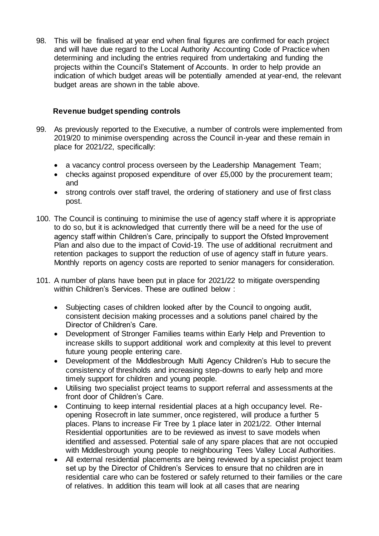98. This will be finalised at year end when final figures are confirmed for each project and will have due regard to the Local Authority Accounting Code of Practice when determining and including the entries required from undertaking and funding the projects within the Council's Statement of Accounts. In order to help provide an indication of which budget areas will be potentially amended at year-end, the relevant budget areas are shown in the table above.

# **Revenue budget spending controls**

- 99. As previously reported to the Executive, a number of controls were implemented from 2019/20 to minimise overspending across the Council in-year and these remain in place for 2021/22, specifically:
	- a vacancy control process overseen by the Leadership Management Team;
	- checks against proposed expenditure of over £5,000 by the procurement team; and
	- strong controls over staff travel, the ordering of stationery and use of first class post.
- 100. The Council is continuing to minimise the use of agency staff where it is appropriate to do so, but it is acknowledged that currently there will be a need for the use of agency staff within Children's Care, principally to support the Ofsted Improvement Plan and also due to the impact of Covid-19. The use of additional recruitment and retention packages to support the reduction of use of agency staff in future years. Monthly reports on agency costs are reported to senior managers for consideration.
- 101. A number of plans have been put in place for 2021/22 to mitigate overspending within Children's Services. These are outlined below :
	- Subjecting cases of children looked after by the Council to ongoing audit, consistent decision making processes and a solutions panel chaired by the Director of Children's Care.
	- Development of Stronger Families teams within Early Help and Prevention to increase skills to support additional work and complexity at this level to prevent future young people entering care.
	- Development of the Middlesbrough Multi Agency Children's Hub to secure the consistency of thresholds and increasing step-downs to early help and more timely support for children and young people.
	- Utilising two specialist project teams to support referral and assessments at the front door of Children's Care.
	- Continuing to keep internal residential places at a high occupancy level. Reopening Rosecroft in late summer, once registered, will produce a further 5 places. Plans to increase Fir Tree by 1 place later in 2021/22. Other Internal Residential opportunities are to be reviewed as invest to save models when identified and assessed. Potential sale of any spare places that are not occupied with Middlesbrough young people to neighbouring Tees Valley Local Authorities.
	- All external residential placements are being reviewed by a specialist project team set up by the Director of Children's Services to ensure that no children are in residential care who can be fostered or safely returned to their families or the care of relatives. In addition this team will look at all cases that are nearing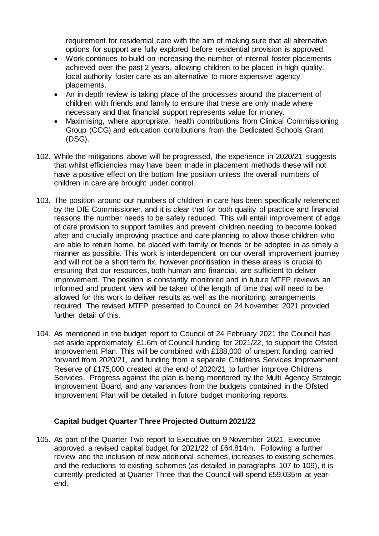requirement for residential care with the aim of making sure that all alternative options for support are fully explored before residential provision is approved.

- Work continues to build on increasing the number of internal foster placements achieved over the past 2 years, allowing children to be placed in high quality. local authority foster care as an alternative to more expensive agency placements.
- An in depth review is taking place of the processes around the placement of children with friends and family to ensure that these are only made where necessary and that financial support represents value for money.
- Maximising, where appropriate, health contributions from Clinical Commissioning Group (CCG) and education contributions from the Dedicated Schools Grant (DSG).
- 102. While the mitigations above will be progressed, the experience in 2020/21 suggests that whilst efficiencies may have been made in placement methods these will not have a positive effect on the bottom line position unless the overall numbers of children in care are brought under control.
- 103. The position around our numbers of children in care has been specifically referenced by the DfE Commissioner, and it is clear that for both quality of practice and financial reasons the number needs to be safely reduced. This will entail improvement of edge of care provision to support families and prevent children needing to become looked after and crucially improving practice and care planning to allow those children who are able to return home, be placed with family or friends or be adopted in as timely a manner as possible. This work is interdependent on our overall improvement journey and will not be a short term fix, however prioritisation in these areas is crucial to ensuring that our resources, both human and financial, are sufficient to deliver improvement. The position is constantly monitored and in future MTFP reviews an informed and prudent view will be taken of the length of time that will need to be allowed for this work to deliver results as well as the monitoring arrangements required. The revised MTFP presented to Council on 24 November 2021 provided further detail of this.
- 104. As mentioned in the budget report to Council of 24 February 2021 the Council has set aside approximately £1.6m of Council funding for 2021/22, to support the Ofsted Improvement Plan. This will be combined with £188,000 of unspent funding carried forward from 2020/21, and funding from a separate Childrens Services Improvement Reserve of £175,000 created at the end of 2020/21 to further improve Childrens Services. Progress against the plan is being monitored by the Multi Agency Strategic Improvement Board, and any variances from the budgets contained in the Ofsted Improvement Plan will be detailed in future budget monitoring reports.

# **Capital budget Quarter Three Projected Outturn 2021/22**

105. As part of the Quarter Two report to Executive on 9 November 2021, Executive approved a revised capital budget for 2021/22 of £64.814m. Following a further review and the inclusion of new additional schemes, increases to existing schemes, and the reductions to existing schemes (as detailed in paragraphs 107 to 109), it is currently predicted at Quarter Three that the Council will spend £59.035m at yearend.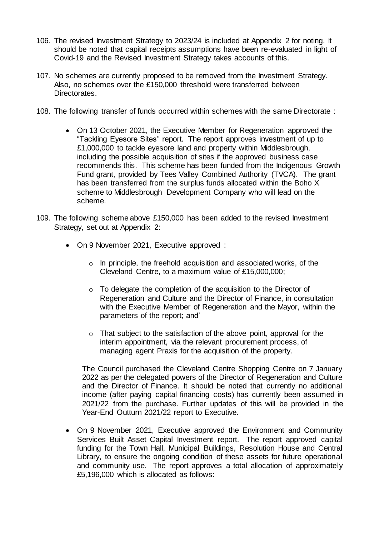- 106. The revised Investment Strategy to 2023/24 is included at Appendix 2 for noting. It should be noted that capital receipts assumptions have been re-evaluated in light of Covid-19 and the Revised Investment Strategy takes accounts of this.
- 107. No schemes are currently proposed to be removed from the Investment Strategy. Also, no schemes over the £150,000 threshold were transferred between Directorates.
- 108. The following transfer of funds occurred within schemes with the same Directorate :
	- On 13 October 2021, the Executive Member for Regeneration approved the "Tackling Eyesore Sites" report. The report approves investment of up to £1,000,000 to tackle eyesore land and property within Middlesbrough, including the possible acquisition of sites if the approved business case recommends this. This scheme has been funded from the Indigenous Growth Fund grant, provided by Tees Valley Combined Authority (TVCA). The grant has been transferred from the surplus funds allocated within the Boho X scheme to Middlesbrough Development Company who will lead on the scheme.
- 109. The following scheme above £150,000 has been added to the revised Investment Strategy, set out at Appendix 2:
	- On 9 November 2021, Executive approved :
		- o In principle, the freehold acquisition and associated works, of the Cleveland Centre, to a maximum value of £15,000,000;
		- o To delegate the completion of the acquisition to the Director of Regeneration and Culture and the Director of Finance, in consultation with the Executive Member of Regeneration and the Mayor, within the parameters of the report; and'
		- o That subject to the satisfaction of the above point, approval for the interim appointment, via the relevant procurement process, of managing agent Praxis for the acquisition of the property.

The Council purchased the Cleveland Centre Shopping Centre on 7 January 2022 as per the delegated powers of the Director of Regeneration and Culture and the Director of Finance. It should be noted that currently no additional income (after paying capital financing costs) has currently been assumed in 2021/22 from the purchase. Further updates of this will be provided in the Year-End Outturn 2021/22 report to Executive.

 On 9 November 2021, Executive approved the Environment and Community Services Built Asset Capital Investment report. The report approved capital funding for the Town Hall, Municipal Buildings, Resolution House and Central Library, to ensure the ongoing condition of these assets for future operational and community use. The report approves a total allocation of approximately £5,196,000 which is allocated as follows: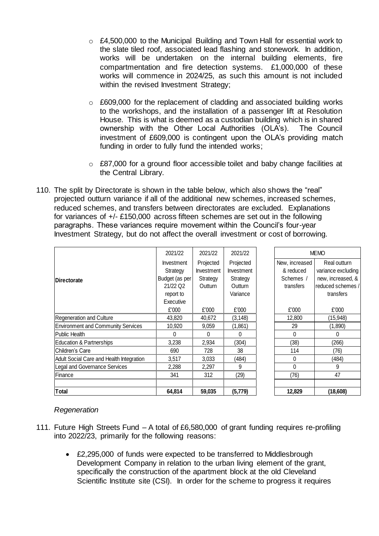- $\circ$  £4,500,000 to the Municipal Building and Town Hall for essential work to the slate tiled roof, associated lead flashing and stonework. In addition, works will be undertaken on the internal building elements, fire compartmentation and fire detection systems. £1,000,000 of these works will commence in 2024/25, as such this amount is not included within the revised Investment Strategy;
- o £609,000 for the replacement of cladding and associated building works to the workshops, and the installation of a passenger lift at Resolution House. This is what is deemed as a custodian building which is in shared ownership with the Other Local Authorities (OLA's). The Council investment of £609,000 is contingent upon the OLA's providing match funding in order to fully fund the intended works;
- o £87,000 for a ground floor accessible toilet and baby change facilities at the Central Library.
- 110. The split by Directorate is shown in the table below, which also shows the "real" projected outturn variance if all of the additional new schemes, increased schemes, reduced schemes, and transfers between directorates are excluded. Explanations for variances of +/- £150,000 across fifteen schemes are set out in the following paragraphs. These variances require movement within the Council's four-year Investment Strategy, but do not affect the overall investment or cost of borrowing.

|                                           | 2021/22           | 2021/22           | 2021/22           |                | <b>MEMO</b>        |
|-------------------------------------------|-------------------|-------------------|-------------------|----------------|--------------------|
|                                           | <b>Investment</b> | Projected         | Projected         | New, increased | Real outturn       |
|                                           | Strategy          | <b>Investment</b> | <b>Investment</b> | & reduced      | variance excluding |
| <b>IDirectorate</b>                       | Budget (as per    | Strategy          | Strategy          | Schemes /      | new, increased, &  |
|                                           | 21/22 Q2          | Outturn           | Outturn           | transfers      | reduced schemes /  |
|                                           | report to         |                   | Variance          |                | transfers          |
|                                           | Executive         |                   |                   |                |                    |
|                                           | £'000             | £'000             | £'000             | £'000          | £'000              |
| <b>Regeneration and Culture</b>           | 43,820            | 40,672            | (3, 148)          | 12,800         | (15,948)           |
| <b>Environment and Community Services</b> | 10,920            | 9,059             | (1,861)           | 29             | (1,890)            |
| <b>Public Health</b>                      | 0                 | 0                 | 0                 | $\mathbf{0}$   | 0                  |
| <b>Education &amp; Partnerships</b>       | 3,238             | 2,934             | (304)             | (38)           | (266)              |
| Children's Care                           | 690               | 728               | 38                | 114            | (76)               |
| Adult Social Care and Health Integration  | 3,517             | 3,033             | (484)             | $\mathbf{0}$   | (484)              |
| Legal and Governance Services             | 2,288             | 2,297             | 9                 | $\Omega$       | 9                  |
| Finance                                   | 341               | 312               | (29)              | (76)           | 47                 |
|                                           |                   |                   |                   |                |                    |
| <b>Total</b>                              | 64.814            | 59.035            | (5,779)           | 12.829         | (18,608)           |

# *Regeneration*

- 111. Future High Streets Fund A total of £6,580,000 of grant funding requires re-profiling into 2022/23, primarily for the following reasons:
	- £2,295,000 of funds were expected to be transferred to Middlesbrough Development Company in relation to the urban living element of the grant, specifically the construction of the apartment block at the old Cleveland Scientific Institute site (CSI). In order for the scheme to progress it requires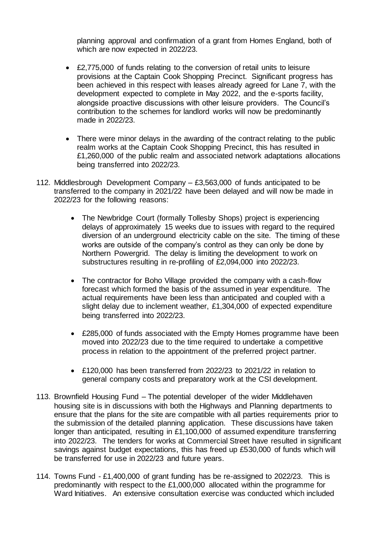planning approval and confirmation of a grant from Homes England, both of which are now expected in 2022/23.

- £2,775,000 of funds relating to the conversion of retail units to leisure provisions at the Captain Cook Shopping Precinct. Significant progress has been achieved in this respect with leases already agreed for Lane 7, with the development expected to complete in May 2022, and the e-sports facility, alongside proactive discussions with other leisure providers. The Council's contribution to the schemes for landlord works will now be predominantly made in 2022/23.
- There were minor delays in the awarding of the contract relating to the public realm works at the Captain Cook Shopping Precinct, this has resulted in £1,260,000 of the public realm and associated network adaptations allocations being transferred into 2022/23.
- 112. Middlesbrough Development Company £3,563,000 of funds anticipated to be transferred to the company in 2021/22 have been delayed and will now be made in 2022/23 for the following reasons:
	- The Newbridge Court (formally Tollesby Shops) project is experiencing delays of approximately 15 weeks due to issues with regard to the required diversion of an underground electricity cable on the site. The timing of these works are outside of the company's control as they can only be done by Northern Powergrid. The delay is limiting the development to work on substructures resulting in re-profiling of £2,094,000 into 2022/23.
	- The contractor for Boho Village provided the company with a cash-flow forecast which formed the basis of the assumed in year expenditure. The actual requirements have been less than anticipated and coupled with a slight delay due to inclement weather, £1,304,000 of expected expenditure being transferred into 2022/23.
	- £285,000 of funds associated with the Empty Homes programme have been moved into 2022/23 due to the time required to undertake a competitive process in relation to the appointment of the preferred project partner.
	- £120,000 has been transferred from 2022/23 to 2021/22 in relation to general company costs and preparatory work at the CSI development.
- 113. Brownfield Housing Fund The potential developer of the wider Middlehaven housing site is in discussions with both the Highways and Planning departments to ensure that the plans for the site are compatible with all parties requirements prior to the submission of the detailed planning application. These discussions have taken longer than anticipated, resulting in £1,100,000 of assumed expenditure transferring into 2022/23. The tenders for works at Commercial Street have resulted in significant savings against budget expectations, this has freed up £530,000 of funds which will be transferred for use in 2022/23 and future years.
- 114. Towns Fund £1,400,000 of grant funding has be re-assigned to 2022/23. This is predominantly with respect to the £1,000,000 allocated within the programme for Ward Initiatives. An extensive consultation exercise was conducted which included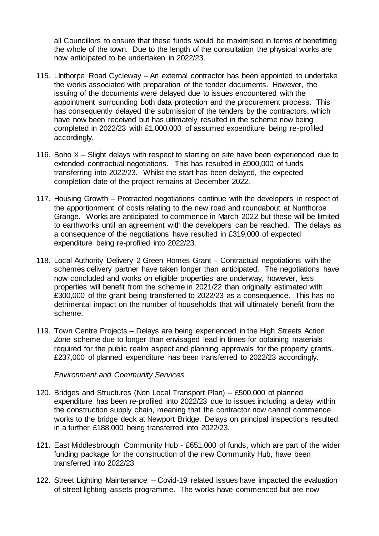all Councillors to ensure that these funds would be maximised in terms of benefitting the whole of the town. Due to the length of the consultation the physical works are now anticipated to be undertaken in 2022/23.

- 115. LInthorpe Road Cycleway An external contractor has been appointed to undertake the works associated with preparation of the tender documents. However, the issuing of the documents were delayed due to issues encountered with the appointment surrounding both data protection and the procurement process. This has consequently delayed the submission of the tenders by the contractors, which have now been received but has ultimately resulted in the scheme now being completed in 2022/23 with £1,000,000 of assumed expenditure being re-profiled accordingly.
- 116. Boho X Slight delays with respect to starting on site have been experienced due to extended contractual negotiations. This has resulted in £900,000 of funds transferring into 2022/23. Whilst the start has been delayed, the expected completion date of the project remains at December 2022.
- 117. Housing Growth Protracted negotiations continue with the developers in respect of the apportionment of costs relating to the new road and roundabout at Nunthorpe Grange. Works are anticipated to commence in March 2022 but these will be limited to earthworks until an agreement with the developers can be reached. The delays as a consequence of the negotiations have resulted in £319,000 of expected expenditure being re-profiled into 2022/23.
- 118. Local Authority Delivery 2 Green Homes Grant Contractual negotiations with the schemes delivery partner have taken longer than anticipated. The negotiations have now concluded and works on eligible properties are underway, however, less properties will benefit from the scheme in 2021/22 than originally estimated with £300,000 of the grant being transferred to 2022/23 as a consequence. This has no detrimental impact on the number of households that will ultimately benefit from the scheme.
- 119. Town Centre Projects Delays are being experienced in the High Streets Action Zone scheme due to longer than envisaged lead in times for obtaining materials required for the public realm aspect and planning approvals for the property grants. £237,000 of planned expenditure has been transferred to 2022/23 accordingly.

*Environment and Community Services*

- 120. Bridges and Structures (Non Local Transport Plan) £500,000 of planned expenditure has been re-profiled into 2022/23 due to issues including a delay within the construction supply chain, meaning that the contractor now cannot commence works to the bridge deck at Newport Bridge. Delays on principal inspections resulted in a further £188,000 being transferred into 2022/23.
- 121. East Middlesbrough Community Hub £651,000 of funds, which are part of the wider funding package for the construction of the new Community Hub, have been transferred into 2022/23.
- 122. Street Lighting Maintenance Covid-19 related issues have impacted the evaluation of street lighting assets programme. The works have commenced but are now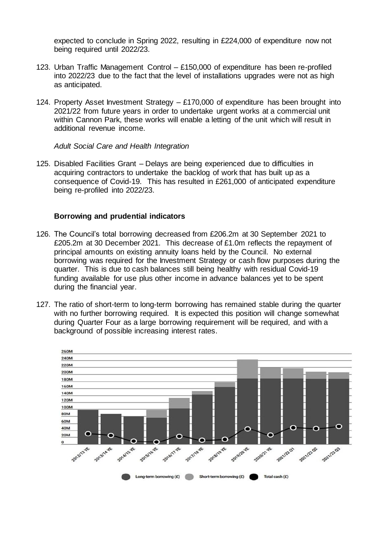expected to conclude in Spring 2022, resulting in £224,000 of expenditure now not being required until 2022/23.

- 123. Urban Traffic Management Control £150,000 of expenditure has been re-profiled into 2022/23 due to the fact that the level of installations upgrades were not as high as anticipated.
- 124. Property Asset Investment Strategy £170,000 of expenditure has been brought into 2021/22 from future years in order to undertake urgent works at a commercial unit within Cannon Park, these works will enable a letting of the unit which will result in additional revenue income.

*Adult Social Care and Health Integration*

125. Disabled Facilities Grant – Delays are being experienced due to difficulties in acquiring contractors to undertake the backlog of work that has built up as a consequence of Covid-19. This has resulted in £261,000 of anticipated expenditure being re-profiled into 2022/23.

# **Borrowing and prudential indicators**

- 126. The Council's total borrowing decreased from £206.2m at 30 September 2021 to £205.2m at 30 December 2021. This decrease of £1.0m reflects the repayment of principal amounts on existing annuity loans held by the Council. No external borrowing was required for the Investment Strategy or cash flow purposes during the quarter. This is due to cash balances still being healthy with residual Covid-19 funding available for use plus other income in advance balances yet to be spent during the financial year.
- 127. The ratio of short-term to long-term borrowing has remained stable during the quarter with no further borrowing required. It is expected this position will change somewhat during Quarter Four as a large borrowing requirement will be required, and with a background of possible increasing interest rates.

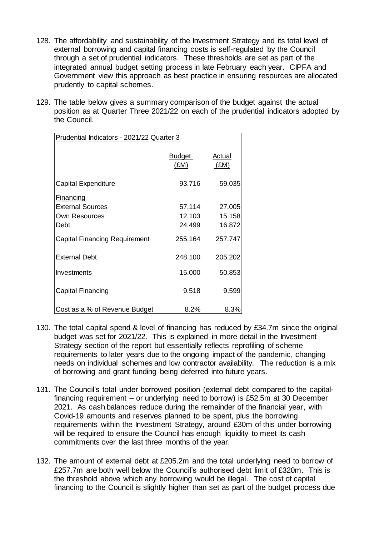- 128. The affordability and sustainability of the Investment Strategy and its total level of external borrowing and capital financing costs is self-regulated by the Council through a set of prudential indicators. These thresholds are set as part of the integrated annual budget setting process in late February each year. CIPFA and Government view this approach as best practice in ensuring resources are allocated prudently to capital schemes.
- 129. The table below gives a summary comparison of the budget against the actual position as at Quarter Three 2021/22 on each of the prudential indicators adopted by the Council.

| Prudential Indicators - 2021/22 Quarter 3 |                       |                |  |  |  |
|-------------------------------------------|-----------------------|----------------|--|--|--|
|                                           | <b>Budget</b><br>(£M) | Actual<br>(EM) |  |  |  |
| <b>Capital Expenditure</b>                | 93.716                | 59.035         |  |  |  |
| <b>Financing</b>                          |                       |                |  |  |  |
| <b>External Sources</b>                   | 57.114                | 27.005         |  |  |  |
| <b>Own Resources</b>                      | 12.103                | 15.158         |  |  |  |
| Debt                                      | 24.499                | 16.872         |  |  |  |
| <b>Capital Financing Requirement</b>      | 255.164               | 257.747        |  |  |  |
| <b>External Debt</b>                      | 248.100               | 205.202        |  |  |  |
| Investments                               | 15.000                | 50.853         |  |  |  |
| <b>Capital Financing</b>                  | 9.518                 | 9.599          |  |  |  |
| Cost as a % of Revenue Budget             | 8.2%                  | 8.3%           |  |  |  |

- 130. The total capital spend & level of financing has reduced by £34.7m since the original budget was set for 2021/22. This is explained in more detail in the Investment Strategy section of the report but essentially reflects reprofiling of scheme requirements to later years due to the ongoing impact of the pandemic, changing needs on individual schemes and low contractor availability. The reduction is a mix of borrowing and grant funding being deferred into future years.
- 131. The Council's total under borrowed position (external debt compared to the capitalfinancing requirement – or underlying need to borrow) is £52.5m at 30 December 2021. As cash balances reduce during the remainder of the financial year, with Covid-19 amounts and reserves planned to be spent, plus the borrowing requirements within the Investment Strategy, around £30m of this under borrowing will be required to ensure the Council has enough liquidity to meet its cash commitments over the last three months of the year.
- 132. The amount of external debt at £205.2m and the total underlying need to borrow of £257.7m are both well below the Council's authorised debt limit of £320m. This is the threshold above which any borrowing would be illegal. The cost of capital financing to the Council is slightly higher than set as part of the budget process due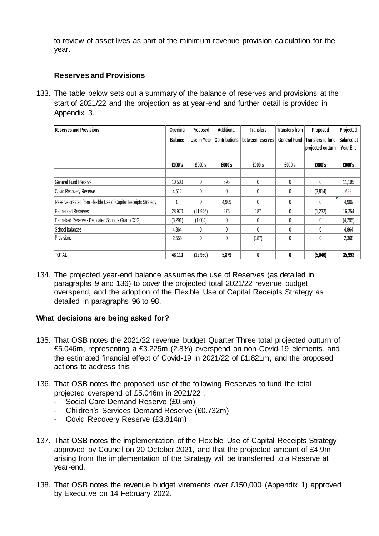to review of asset lives as part of the minimum revenue provision calculation for the year.

# **Reserves and Provisions**

133. The table below sets out a summary of the balance of reserves and provisions at the start of 2021/22 and the projection as at year-end and further detail is provided in Appendix 3.

| <b>Reserves and Provisions</b>                                 | Opening        | Proposed    | Additional           | Transfers        | <b>Transfers from</b> | Proposed                               | Projected                     |
|----------------------------------------------------------------|----------------|-------------|----------------------|------------------|-----------------------|----------------------------------------|-------------------------------|
|                                                                | <b>Balance</b> | Use in Year | <b>Contributions</b> | between reserves | <b>General Fund</b>   | Transfers to fund<br>projected outturn | <b>Balance at</b><br>Year End |
|                                                                | £000's         | £000's      | £000's               | £000's           | £000's                | £000's                                 | £000's                        |
|                                                                |                |             |                      |                  |                       |                                        |                               |
| General Fund Reserve                                           | 10.500         | $\theta$    | 695                  | 0                | 0                     | $\mathbf{0}$                           | 11,195                        |
| Covid Recovery Reserve                                         | 4,512          |             | 0                    | 0                | 0                     | (3,814)                                | 698                           |
| Reserve created from Flexible Use of Capital Receipts Strategy | 0              | 0           | 4,909                | $\mathbf{0}$     | 0                     | 0                                      | 4,909                         |
| Earmarked Reserves                                             | 28,970         | (11, 946)   | 275                  | 187              | 0                     | (1,232)                                | 16,254                        |
| Earmaked Reserve - Dedicated Schools Grant (DSG)               | (3,291)        | (1,004)     | 0                    | 0                | 0                     | 0                                      | (4, 295)                      |
| School balances                                                | 4.864          | 0           | 0                    | $\theta$         | 0                     | 0                                      | 4,864                         |
| Provisions                                                     | 2,555          | 0           | 0                    | (187)            | 0                     | 0                                      | 2,368                         |
|                                                                |                |             |                      |                  |                       |                                        |                               |
| <b>TOTAL</b>                                                   | 48.110         | (12,950)    | 5,879                | 0                | 0                     | (5,046)                                | 35,993                        |

134. The projected year-end balance assumes the use of Reserves (as detailed in paragraphs 9 and 136) to cover the projected total 2021/22 revenue budget overspend, and the adoption of the Flexible Use of Capital Receipts Strategy as detailed in paragraphs 96 to 98.

# **What decisions are being asked for?**

- 135. That OSB notes the 2021/22 revenue budget Quarter Three total projected outturn of £5.046m, representing a £3.225m (2.8%) overspend on non-Covid-19 elements, and the estimated financial effect of Covid-19 in 2021/22 of £1.821m, and the proposed actions to address this.
- 136. That OSB notes the proposed use of the following Reserves to fund the total projected overspend of £5.046m in 2021/22 :
	- Social Care Demand Reserve (£0.5m)
	- Children's Services Demand Reserve (£0.732m)
	- Covid Recovery Reserve (£3.814m)
- 137. That OSB notes the implementation of the Flexible Use of Capital Receipts Strategy approved by Council on 20 October 2021, and that the projected amount of £4.9m arising from the implementation of the Strategy will be transferred to a Reserve at year-end.
- 138. That OSB notes the revenue budget virements over £150,000 (Appendix 1) approved by Executive on 14 February 2022.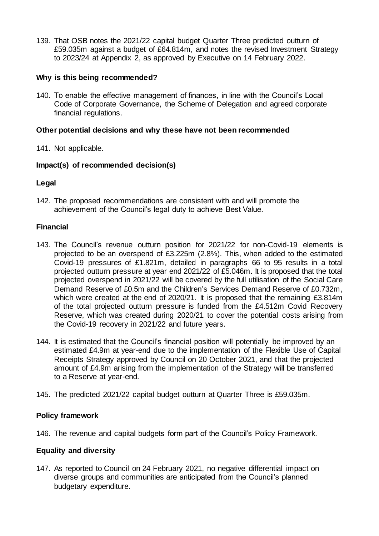139. That OSB notes the 2021/22 capital budget Quarter Three predicted outturn of £59.035m against a budget of £64.814m, and notes the revised Investment Strategy to 2023/24 at Appendix 2, as approved by Executive on 14 February 2022.

# **Why is this being recommended?**

140. To enable the effective management of finances, in line with the Council's Local Code of Corporate Governance, the Scheme of Delegation and agreed corporate financial regulations.

# **Other potential decisions and why these have not been recommended**

141. Not applicable.

# **Impact(s) of recommended decision(s)**

# **Legal**

142. The proposed recommendations are consistent with and will promote the achievement of the Council's legal duty to achieve Best Value.

# **Financial**

- 143. The Council's revenue outturn position for 2021/22 for non-Covid-19 elements is projected to be an overspend of £3.225m (2.8%). This, when added to the estimated Covid-19 pressures of £1.821m, detailed in paragraphs 66 to 95 results in a total projected outturn pressure at year end 2021/22 of £5.046m. It is proposed that the total projected overspend in 2021/22 will be covered by the full utilisation of the Social Care Demand Reserve of £0.5m and the Children's Services Demand Reserve of £0.732m, which were created at the end of 2020/21. It is proposed that the remaining £3.814m of the total projected outturn pressure is funded from the £4.512m Covid Recovery Reserve, which was created during 2020/21 to cover the potential costs arising from the Covid-19 recovery in 2021/22 and future years.
- 144. It is estimated that the Council's financial position will potentially be improved by an estimated £4.9m at year-end due to the implementation of the Flexible Use of Capital Receipts Strategy approved by Council on 20 October 2021, and that the projected amount of £4.9m arising from the implementation of the Strategy will be transferred to a Reserve at year-end.
- 145. The predicted 2021/22 capital budget outturn at Quarter Three is £59.035m.

# **Policy framework**

146. The revenue and capital budgets form part of the Council's Policy Framework.

# **Equality and diversity**

147. As reported to Council on 24 February 2021, no negative differential impact on diverse groups and communities are anticipated from the Council's planned budgetary expenditure.